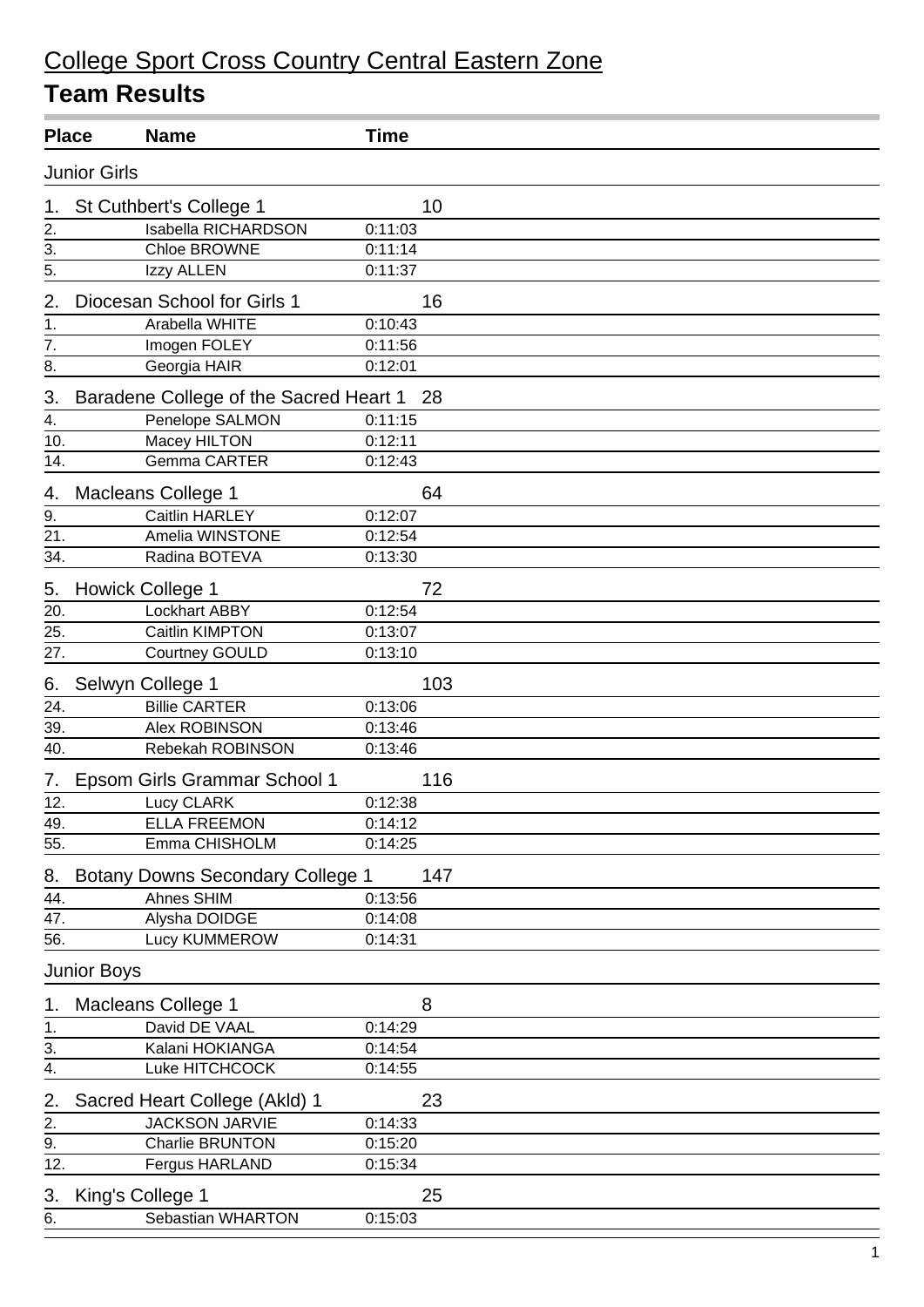| <b>Place</b> |                                           | <b>Name</b>                             | <b>Time</b> |  |  |  |
|--------------|-------------------------------------------|-----------------------------------------|-------------|--|--|--|
|              | <b>Junior Girls</b>                       |                                         |             |  |  |  |
| 1.           |                                           | St Cuthbert's College 1                 | 10          |  |  |  |
| 2.           |                                           | Isabella RICHARDSON                     | 0:11:03     |  |  |  |
| 3.           |                                           | Chloe BROWNE                            | 0:11:14     |  |  |  |
| 5.           |                                           | Izzy ALLEN                              | 0:11:37     |  |  |  |
| 2.           |                                           | Diocesan School for Girls 1             | 16          |  |  |  |
| 1.           |                                           | Arabella WHITE                          | 0:10:43     |  |  |  |
| 7.           |                                           | Imogen FOLEY                            | 0:11:56     |  |  |  |
| 8.           |                                           | Georgia HAIR                            | 0:12:01     |  |  |  |
| 3.           | Baradene College of the Sacred Heart 1 28 |                                         |             |  |  |  |
| 4.           |                                           | Penelope SALMON                         | 0:11:15     |  |  |  |
| 10.          |                                           | Macey HILTON                            | 0:12:11     |  |  |  |
| 14.          |                                           | <b>Gemma CARTER</b>                     | 0:12:43     |  |  |  |
| 4.           |                                           | <b>Macleans College 1</b>               | 64          |  |  |  |
| 9.           |                                           | <b>Caitlin HARLEY</b>                   | 0:12:07     |  |  |  |
| 21.          |                                           | Amelia WINSTONE                         | 0:12:54     |  |  |  |
| 34.          |                                           | Radina BOTEVA                           | 0:13:30     |  |  |  |
| 5.           |                                           | <b>Howick College 1</b>                 | 72          |  |  |  |
| 20.          |                                           | <b>Lockhart ABBY</b>                    | 0:12:54     |  |  |  |
| 25.          |                                           | Caitlin KIMPTON                         | 0:13:07     |  |  |  |
| 27.          |                                           | Courtney GOULD                          | 0:13:10     |  |  |  |
| 6.           |                                           | Selwyn College 1                        | 103         |  |  |  |
| 24.          |                                           | <b>Billie CARTER</b>                    | 0:13:06     |  |  |  |
| 39.          |                                           | Alex ROBINSON                           | 0:13:46     |  |  |  |
| 40.          |                                           | Rebekah ROBINSON                        | 0:13:46     |  |  |  |
| 7.           |                                           | Epsom Girls Grammar School 1            | 116         |  |  |  |
| 12.          |                                           | Lucy CLARK                              | 0:12:38     |  |  |  |
| 49.          |                                           | <b>ELLA FREEMON</b>                     | 0:14:12     |  |  |  |
| 55.          |                                           | Emma CHISHOLM                           | 0:14:25     |  |  |  |
| 8.           |                                           | <b>Botany Downs Secondary College 1</b> | 147         |  |  |  |
| 44.          |                                           | Ahnes SHIM                              | 0:13:56     |  |  |  |
| 47.          |                                           | Alysha DOIDGE                           | 0:14:08     |  |  |  |
| 56.          |                                           | Lucy KUMMEROW                           | 0:14:31     |  |  |  |
|              | <b>Junior Boys</b>                        |                                         |             |  |  |  |
| 1.           |                                           | Macleans College 1                      | 8           |  |  |  |
| 1.           |                                           | David DE VAAL                           | 0:14:29     |  |  |  |
| 3.           |                                           | Kalani HOKIANGA                         | 0:14:54     |  |  |  |
| 4.           |                                           | Luke HITCHCOCK                          | 0:14:55     |  |  |  |
| 2.           |                                           | Sacred Heart College (Akld) 1           | 23          |  |  |  |
| 2.           |                                           | <b>JACKSON JARVIE</b>                   | 0:14:33     |  |  |  |
| 9.           |                                           | Charlie BRUNTON                         | 0:15:20     |  |  |  |
| 12.          |                                           | Fergus HARLAND                          | 0:15:34     |  |  |  |
| 3.           |                                           | King's College 1                        | 25          |  |  |  |
| 6.           |                                           | Sebastian WHARTON                       | 0:15:03     |  |  |  |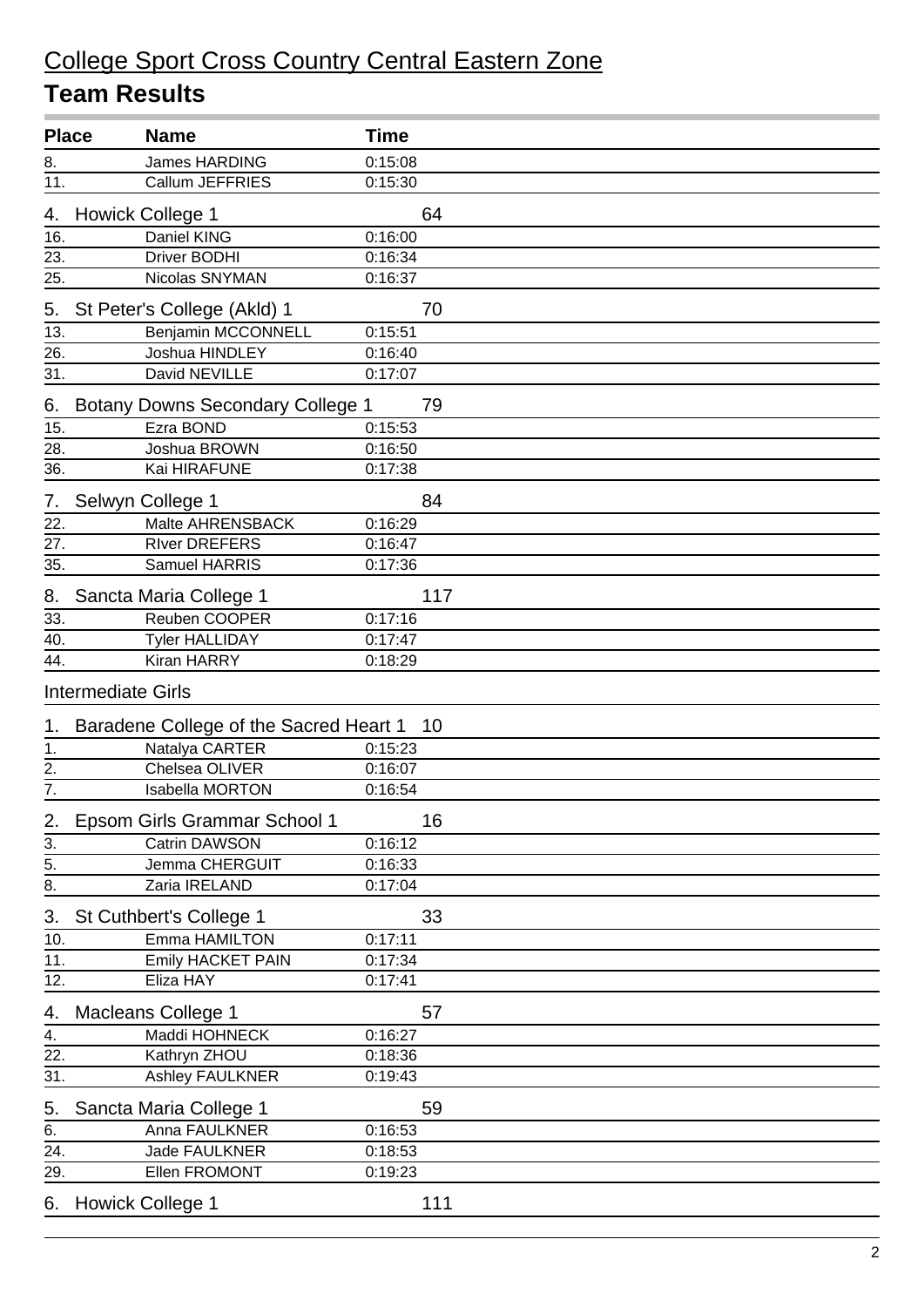| <b>Place</b>     |                           | <b>Name</b>                             | <b>Time</b> |
|------------------|---------------------------|-----------------------------------------|-------------|
| 8.               |                           | James HARDING                           | 0:15:08     |
| 11.              |                           | Callum JEFFRIES                         | 0:15:30     |
| 4.               |                           | <b>Howick College 1</b>                 | 64          |
| 16.              |                           | Daniel KING                             | 0:16:00     |
| 23.              |                           | <b>Driver BODHI</b>                     | 0:16:34     |
| 25.              |                           | Nicolas SNYMAN                          | 0:16:37     |
| 5.               |                           | St Peter's College (Akld) 1             | 70          |
| 13.              |                           | <b>Benjamin MCCONNELL</b>               | 0:15:51     |
| 26.              |                           | Joshua HINDLEY                          | 0:16:40     |
| 31.              |                           | David NEVILLE                           | 0:17:07     |
| 6.               |                           | <b>Botany Downs Secondary College 1</b> | 79          |
| 15.              |                           | Ezra BOND                               | 0:15:53     |
| 28.              |                           | Joshua BROWN                            | 0:16:50     |
| 36.              |                           | Kai HIRAFUNE                            | 0:17:38     |
| 7.               |                           | Selwyn College 1                        | 84          |
| 22.              |                           | Malte AHRENSBACK                        | 0:16:29     |
| 27.              |                           | <b>River DREFERS</b>                    | 0:16:47     |
| 35.              |                           | Samuel HARRIS                           | 0:17:36     |
| 8.               |                           | Sancta Maria College 1                  | 117         |
| 33.              |                           | Reuben COOPER                           | 0:17:16     |
| 40.              |                           | <b>Tyler HALLIDAY</b>                   | 0:17:47     |
| 44.              |                           | Kiran HARRY                             | 0:18:29     |
|                  | <b>Intermediate Girls</b> |                                         |             |
| 1.               |                           | Baradene College of the Sacred Heart 1  | -10         |
| 1.               |                           | Natalya CARTER                          | 0:15:23     |
| 2.               |                           | Chelsea OLIVER                          | 0:16:07     |
| $\overline{7}$ . |                           | <b>Isabella MORTON</b>                  | 0:16:54     |
| <u>∠.</u>        |                           | Epsom Girls Grammar School 1            | 16          |
| $\overline{3}$ . |                           | <b>Catrin DAWSON</b>                    | 0:16:12     |
| $\overline{5}$ . |                           | Jemma CHERGUIT                          | 0:16:33     |
| $\overline{8}$ . |                           | Zaria IRELAND                           | 0:17:04     |
| 3.               |                           | St Cuthbert's College 1                 | 33          |
| 10.              |                           | Emma HAMILTON                           | 0:17:11     |
| 11.              |                           | Emily HACKET PAIN                       | 0:17:34     |
| 12.              |                           | Eliza HAY                               | 0:17:41     |
| 4.               |                           | Macleans College 1                      | 57          |
| 4.               |                           | Maddi HOHNECK                           | 0:16:27     |
| 22.              |                           | Kathryn ZHOU                            | 0:18:36     |
| 31.              |                           | Ashley FAULKNER                         | 0:19:43     |
| 5.               |                           | Sancta Maria College 1                  | 59          |
| 6.               |                           | Anna FAULKNER                           | 0:16:53     |
| 24.              |                           | Jade FAULKNER                           | 0:18:53     |
| 29.              |                           | Ellen FROMONT                           | 0:19:23     |
| 6.               |                           | <b>Howick College 1</b>                 | 111         |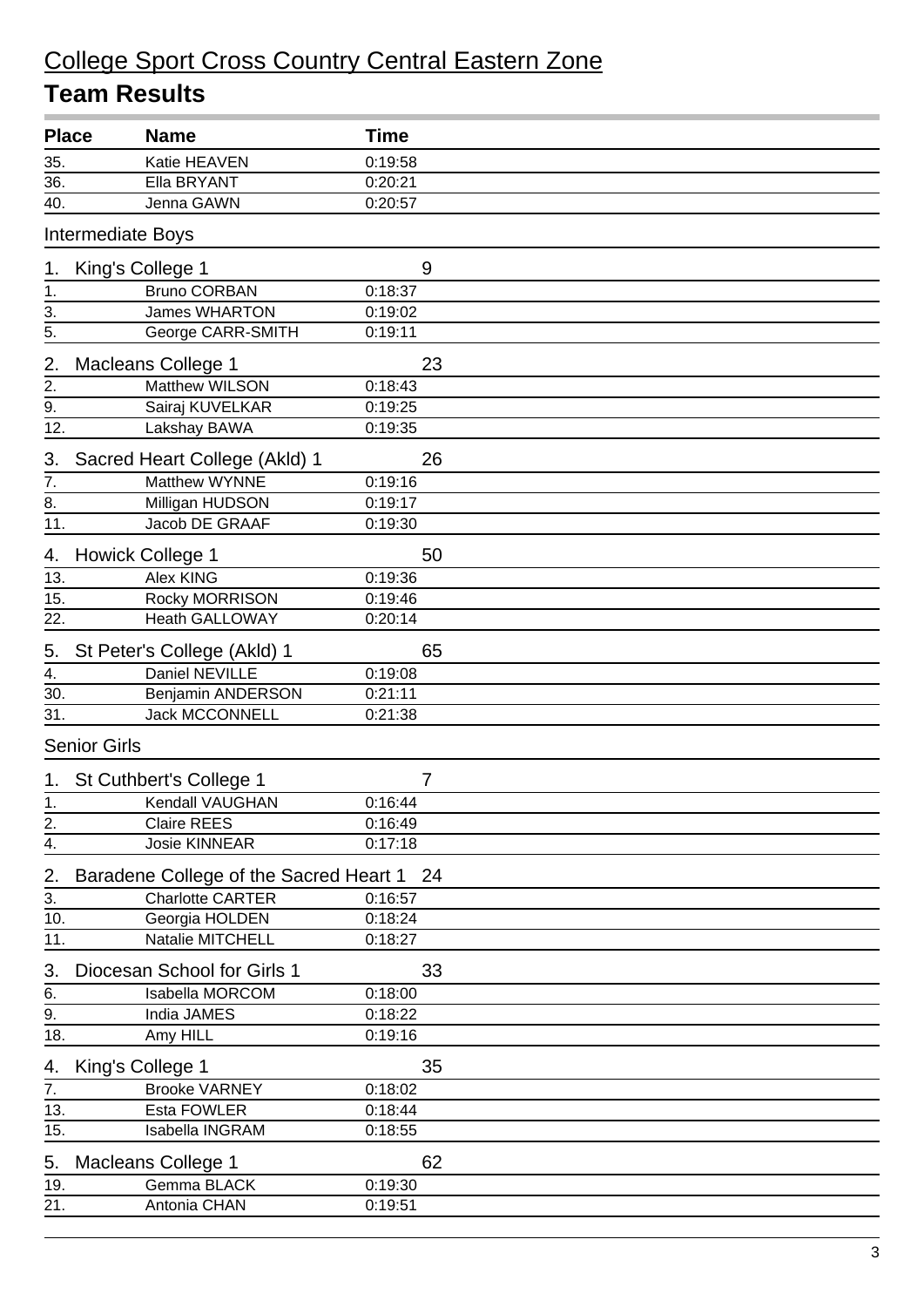| <b>Place</b>      | <b>Name</b>                                  | <b>Time</b> |  |  |  |
|-------------------|----------------------------------------------|-------------|--|--|--|
| 35.               | Katie HEAVEN                                 | 0:19:58     |  |  |  |
| 36.               | Ella BRYANT                                  | 0:20:21     |  |  |  |
| 40.               | Jenna GAWN                                   | 0:20:57     |  |  |  |
|                   | <b>Intermediate Boys</b>                     |             |  |  |  |
| 1.                | King's College 1                             | 9           |  |  |  |
| 1.                | <b>Bruno CORBAN</b>                          | 0:18:37     |  |  |  |
| $\overline{3}$ .  | <b>James WHARTON</b>                         | 0:19:02     |  |  |  |
| $\frac{1}{5}$     | George CARR-SMITH                            | 0:19:11     |  |  |  |
| 2.                | <b>Macleans College 1</b>                    | 23          |  |  |  |
| 2.                | Matthew WILSON                               | 0:18:43     |  |  |  |
| $\overline{9}$ .  | Sairaj KUVELKAR                              | 0:19:25     |  |  |  |
| 12.               | Lakshay BAWA                                 | 0:19:35     |  |  |  |
| 3.                | Sacred Heart College (Akld) 1                | 26          |  |  |  |
| 7.                | Matthew WYNNE                                | 0:19:16     |  |  |  |
| 8.                | Milligan HUDSON                              | 0:19:17     |  |  |  |
| $\overline{11}$ . | Jacob DE GRAAF                               | 0:19:30     |  |  |  |
| 4.                | <b>Howick College 1</b>                      | 50          |  |  |  |
| 13.               | Alex KING                                    | 0:19:36     |  |  |  |
| 15.               | Rocky MORRISON                               | 0:19:46     |  |  |  |
| 22.               | <b>Heath GALLOWAY</b>                        | 0:20:14     |  |  |  |
| 5.                | St Peter's College (Akld) 1                  | 65          |  |  |  |
| 4.                | Daniel NEVILLE                               | 0:19:08     |  |  |  |
| 30.               | Benjamin ANDERSON                            | 0:21:11     |  |  |  |
| 31.               | <b>Jack MCCONNELL</b>                        | 0:21:38     |  |  |  |
|                   | <b>Senior Girls</b>                          |             |  |  |  |
| 1.                | St Cuthbert's College 1                      | 7           |  |  |  |
| 1.                | Kendall VAUGHAN                              | 0:16:44     |  |  |  |
| 2.                | Claire REES                                  | 0:16:49     |  |  |  |
| 4.                | Josie KINNEAR                                | 0:17:18     |  |  |  |
| 2.                | Baradene College of the Sacred Heart 1<br>24 |             |  |  |  |
| 3.                | <b>Charlotte CARTER</b>                      | 0:16:57     |  |  |  |
| 10.               | Georgia HOLDEN                               | 0:18:24     |  |  |  |
| 11.               | Natalie MITCHELL                             | 0:18:27     |  |  |  |
| 3.                | Diocesan School for Girls 1                  | 33          |  |  |  |
| $rac{6}{9}$ .     | Isabella MORCOM                              | 0:18:00     |  |  |  |
|                   | India JAMES                                  | 0:18:22     |  |  |  |
| 18.               | Amy HILL                                     | 0:19:16     |  |  |  |
| 4.                | King's College 1                             | 35          |  |  |  |
| $\overline{7}$ .  | <b>Brooke VARNEY</b>                         | 0:18:02     |  |  |  |
| 13.               | Esta FOWLER                                  | 0:18:44     |  |  |  |
| 15.               | Isabella INGRAM                              | 0:18:55     |  |  |  |
| 5.                | Macleans College 1                           | 62          |  |  |  |
| 19.               | Gemma BLACK                                  | 0:19:30     |  |  |  |
| $\overline{21}$ . | Antonia CHAN                                 | 0:19:51     |  |  |  |